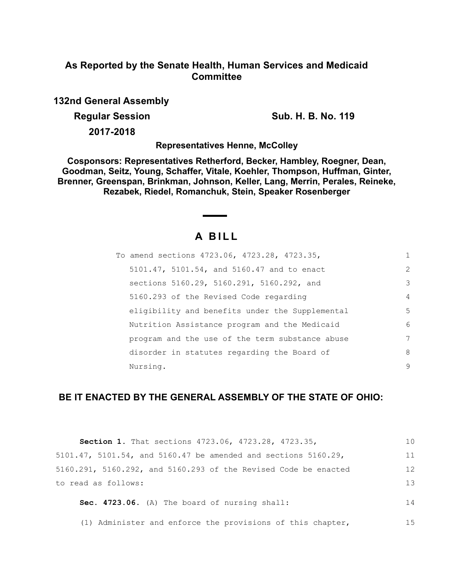# **As Reported by the Senate Health, Human Services and Medicaid Committee**

**132nd General Assembly**

**Regular Session Sub. H. B. No. 119** 

**2017-2018**

**Representatives Henne, McColley**

**Cosponsors: Representatives Retherford, Becker, Hambley, Roegner, Dean, Goodman, Seitz, Young, Schaffer, Vitale, Koehler, Thompson, Huffman, Ginter, Brenner, Greenspan, Brinkman, Johnson, Keller, Lang, Merrin, Perales, Reineke, Rezabek, Riedel, Romanchuk, Stein, Speaker Rosenberger**

# **A B I L L**

| To amend sections 4723.06, 4723.28, 4723.35,    | $\mathbf{1}$   |
|-------------------------------------------------|----------------|
| 5101.47, 5101.54, and 5160.47 and to enact      | 2              |
| sections 5160.29, 5160.291, 5160.292, and       | 3              |
| 5160.293 of the Revised Code regarding          | $\overline{4}$ |
| eligibility and benefits under the Supplemental | 5              |
| Nutrition Assistance program and the Medicaid   | 6              |
| program and the use of the term substance abuse | 7              |
| disorder in statutes regarding the Board of     | 8              |
| Nursing.                                        | 9              |

# **BE IT ENACTED BY THE GENERAL ASSEMBLY OF THE STATE OF OHIO:**

| Section 1. That sections 4723.06, 4723.28, 4723.35,             | 1 <sub>0</sub> |
|-----------------------------------------------------------------|----------------|
| 5101.47, 5101.54, and 5160.47 be amended and sections 5160.29,  | 11             |
| 5160.291, 5160.292, and 5160.293 of the Revised Code be enacted | 12             |
| to read as follows:                                             | 13             |
| Sec. 4723.06. (A) The board of nursing shall:                   | 14             |
| (1) Administer and enforce the provisions of this chapter,      | 15             |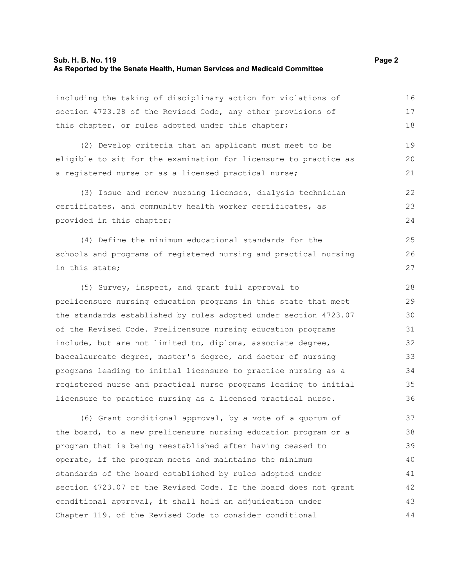# **Sub. H. B. No. 119 Page 2 As Reported by the Senate Health, Human Services and Medicaid Committee**

including the taking of disciplinary action for violations of section 4723.28 of the Revised Code, any other provisions of this chapter, or rules adopted under this chapter; (2) Develop criteria that an applicant must meet to be eligible to sit for the examination for licensure to practice as a registered nurse or as a licensed practical nurse; (3) Issue and renew nursing licenses, dialysis technician certificates, and community health worker certificates, as provided in this chapter; (4) Define the minimum educational standards for the schools and programs of registered nursing and practical nursing in this state; (5) Survey, inspect, and grant full approval to prelicensure nursing education programs in this state that meet the standards established by rules adopted under section 4723.07 of the Revised Code. Prelicensure nursing education programs include, but are not limited to, diploma, associate degree, baccalaureate degree, master's degree, and doctor of nursing programs leading to initial licensure to practice nursing as a registered nurse and practical nurse programs leading to initial licensure to practice nursing as a licensed practical nurse. 16 17 18 19 20 21 22 23 24 25 26 27 28 29 30 31 32 33 34 35 36

(6) Grant conditional approval, by a vote of a quorum of the board, to a new prelicensure nursing education program or a program that is being reestablished after having ceased to operate, if the program meets and maintains the minimum standards of the board established by rules adopted under section 4723.07 of the Revised Code. If the board does not grant conditional approval, it shall hold an adjudication under Chapter 119. of the Revised Code to consider conditional 37 38 39 40 41 42 43 44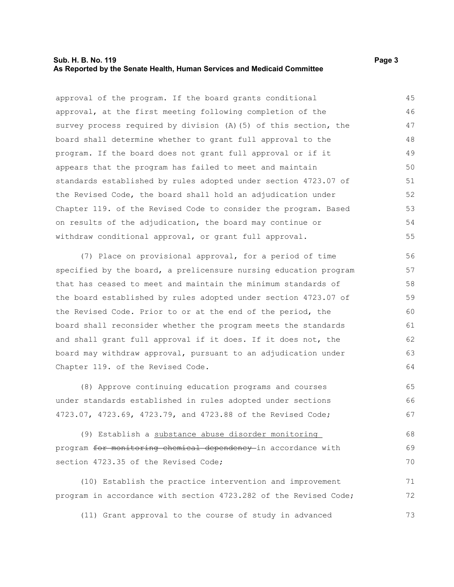#### **Sub. H. B. No. 119 Page 3 As Reported by the Senate Health, Human Services and Medicaid Committee**

approval of the program. If the board grants conditional approval, at the first meeting following completion of the survey process required by division (A)(5) of this section, the board shall determine whether to grant full approval to the program. If the board does not grant full approval or if it appears that the program has failed to meet and maintain standards established by rules adopted under section 4723.07 of the Revised Code, the board shall hold an adjudication under Chapter 119. of the Revised Code to consider the program. Based on results of the adjudication, the board may continue or withdraw conditional approval, or grant full approval. 45 46 47 48 49 50 51 52 53 54 55

(7) Place on provisional approval, for a period of time specified by the board, a prelicensure nursing education program that has ceased to meet and maintain the minimum standards of the board established by rules adopted under section 4723.07 of the Revised Code. Prior to or at the end of the period, the board shall reconsider whether the program meets the standards and shall grant full approval if it does. If it does not, the board may withdraw approval, pursuant to an adjudication under Chapter 119. of the Revised Code.

(8) Approve continuing education programs and courses under standards established in rules adopted under sections 4723.07, 4723.69, 4723.79, and 4723.88 of the Revised Code; 65 66 67

(9) Establish a substance abuse disorder monitoring program for monitoring chemical dependency in accordance with section 4723.35 of the Revised Code; 68 69 70

(10) Establish the practice intervention and improvement program in accordance with section 4723.282 of the Revised Code; 71 72

(11) Grant approval to the course of study in advanced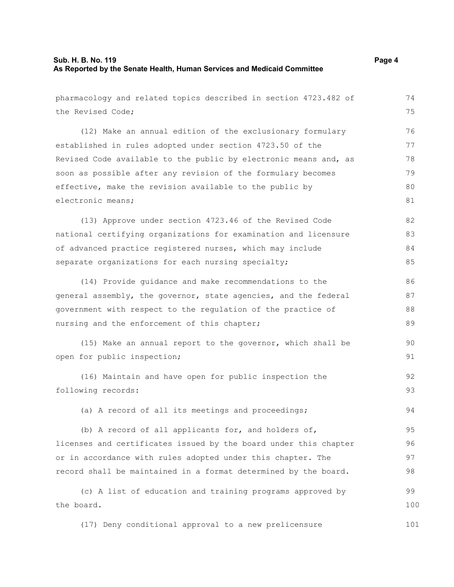# **Sub. H. B. No. 119 Page 4 As Reported by the Senate Health, Human Services and Medicaid Committee**

pharmacology and related topics described in section 4723.482 of the Revised Code; (12) Make an annual edition of the exclusionary formulary established in rules adopted under section 4723.50 of the Revised Code available to the public by electronic means and, as soon as possible after any revision of the formulary becomes effective, make the revision available to the public by electronic means; (13) Approve under section 4723.46 of the Revised Code national certifying organizations for examination and licensure of advanced practice registered nurses, which may include separate organizations for each nursing specialty; (14) Provide guidance and make recommendations to the general assembly, the governor, state agencies, and the federal government with respect to the regulation of the practice of nursing and the enforcement of this chapter; (15) Make an annual report to the governor, which shall be open for public inspection; (16) Maintain and have open for public inspection the following records: (a) A record of all its meetings and proceedings; (b) A record of all applicants for, and holders of, licenses and certificates issued by the board under this chapter or in accordance with rules adopted under this chapter. The record shall be maintained in a format determined by the board. (c) A list of education and training programs approved by the board. 74 75 76 77 78 79 80 81 82 83 84 85 86 87 88 89 90 91 92 93 94 95 96 97 98 99 100

(17) Deny conditional approval to a new prelicensure 101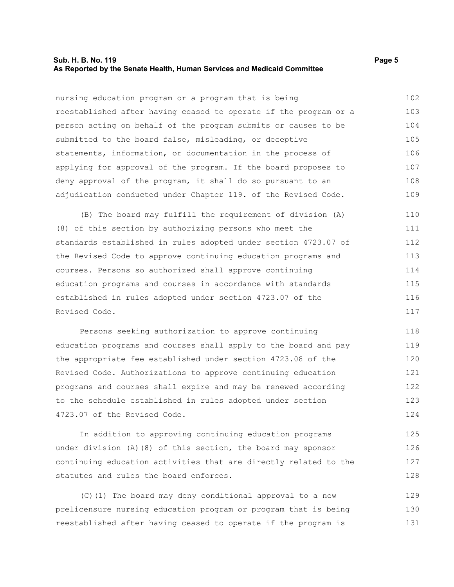### **Sub. H. B. No. 119 Page 5 As Reported by the Senate Health, Human Services and Medicaid Committee**

nursing education program or a program that is being reestablished after having ceased to operate if the program or a person acting on behalf of the program submits or causes to be submitted to the board false, misleading, or deceptive statements, information, or documentation in the process of applying for approval of the program. If the board proposes to deny approval of the program, it shall do so pursuant to an adjudication conducted under Chapter 119. of the Revised Code. 102 103 104 105 106 107 108 109

(B) The board may fulfill the requirement of division (A) (8) of this section by authorizing persons who meet the standards established in rules adopted under section 4723.07 of the Revised Code to approve continuing education programs and courses. Persons so authorized shall approve continuing education programs and courses in accordance with standards established in rules adopted under section 4723.07 of the Revised Code. 110 111 112 113 114 115 116 117

Persons seeking authorization to approve continuing education programs and courses shall apply to the board and pay the appropriate fee established under section 4723.08 of the Revised Code. Authorizations to approve continuing education programs and courses shall expire and may be renewed according to the schedule established in rules adopted under section 4723.07 of the Revised Code. 118 119 120 121 122 123 124

In addition to approving continuing education programs under division (A)(8) of this section, the board may sponsor continuing education activities that are directly related to the statutes and rules the board enforces. 125 126 127 128

(C)(1) The board may deny conditional approval to a new prelicensure nursing education program or program that is being reestablished after having ceased to operate if the program is 129 130 131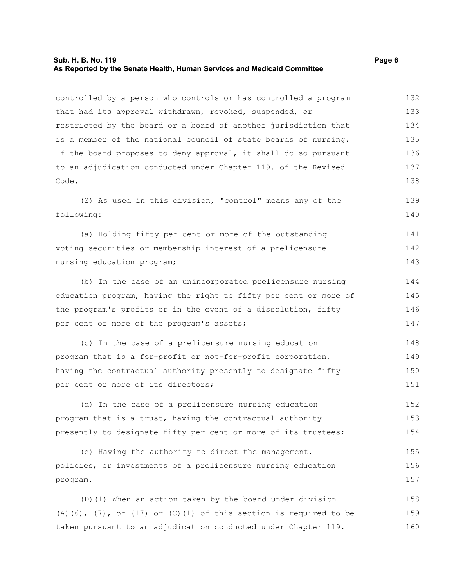# **Sub. H. B. No. 119 Page 6 As Reported by the Senate Health, Human Services and Medicaid Committee**

controlled by a person who controls or has controlled a program that had its approval withdrawn, revoked, suspended, or restricted by the board or a board of another jurisdiction that is a member of the national council of state boards of nursing. If the board proposes to deny approval, it shall do so pursuant to an adjudication conducted under Chapter 119. of the Revised Code. (2) As used in this division, "control" means any of the following: (a) Holding fifty per cent or more of the outstanding voting securities or membership interest of a prelicensure nursing education program; (b) In the case of an unincorporated prelicensure nursing education program, having the right to fifty per cent or more of the program's profits or in the event of a dissolution, fifty per cent or more of the program's assets; (c) In the case of a prelicensure nursing education program that is a for-profit or not-for-profit corporation, having the contractual authority presently to designate fifty per cent or more of its directors; (d) In the case of a prelicensure nursing education program that is a trust, having the contractual authority presently to designate fifty per cent or more of its trustees; (e) Having the authority to direct the management, policies, or investments of a prelicensure nursing education program. 132 133 134 135 136 137 138 139 140 141 142 143 144 145 146 147 148 149 150 151 152 153 154 155 156 157

(D)(1) When an action taken by the board under division  $(A)$ (6),  $(7)$ , or  $(17)$  or  $(C)$ (1) of this section is required to be taken pursuant to an adjudication conducted under Chapter 119. 158 159 160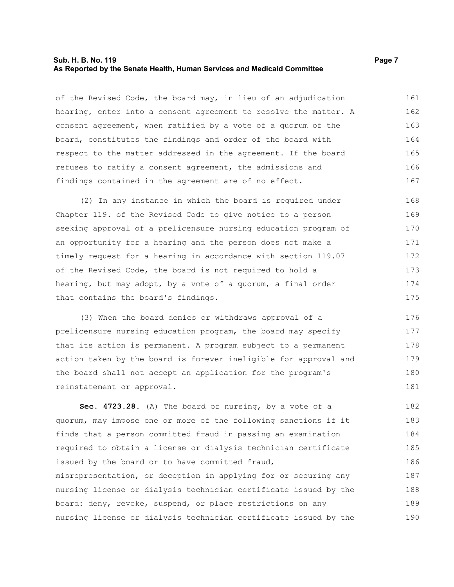#### **Sub. H. B. No. 119 Page 7 As Reported by the Senate Health, Human Services and Medicaid Committee**

of the Revised Code, the board may, in lieu of an adjudication hearing, enter into a consent agreement to resolve the matter. A consent agreement, when ratified by a vote of a quorum of the board, constitutes the findings and order of the board with respect to the matter addressed in the agreement. If the board refuses to ratify a consent agreement, the admissions and findings contained in the agreement are of no effect. 161 162 163 164 165 166 167

(2) In any instance in which the board is required under Chapter 119. of the Revised Code to give notice to a person seeking approval of a prelicensure nursing education program of an opportunity for a hearing and the person does not make a timely request for a hearing in accordance with section 119.07 of the Revised Code, the board is not required to hold a hearing, but may adopt, by a vote of a quorum, a final order that contains the board's findings. 168 169 170 171 172 173 174 175

(3) When the board denies or withdraws approval of a prelicensure nursing education program, the board may specify that its action is permanent. A program subject to a permanent action taken by the board is forever ineligible for approval and the board shall not accept an application for the program's reinstatement or approval. 176 177 178 179 180 181

**Sec. 4723.28.** (A) The board of nursing, by a vote of a quorum, may impose one or more of the following sanctions if it finds that a person committed fraud in passing an examination required to obtain a license or dialysis technician certificate issued by the board or to have committed fraud, misrepresentation, or deception in applying for or securing any nursing license or dialysis technician certificate issued by the board: deny, revoke, suspend, or place restrictions on any nursing license or dialysis technician certificate issued by the 182 183 184 185 186 187 188 189 190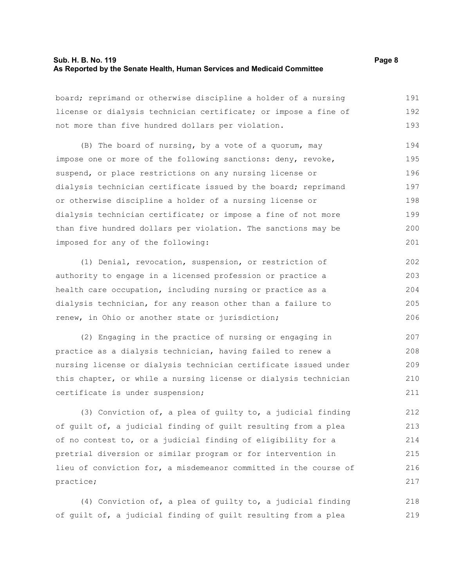# **Sub. H. B. No. 119 Page 8 As Reported by the Senate Health, Human Services and Medicaid Committee**

board; reprimand or otherwise discipline a holder of a nursing license or dialysis technician certificate; or impose a fine of not more than five hundred dollars per violation. 191 192 193

(B) The board of nursing, by a vote of a quorum, may impose one or more of the following sanctions: deny, revoke, suspend, or place restrictions on any nursing license or dialysis technician certificate issued by the board; reprimand or otherwise discipline a holder of a nursing license or dialysis technician certificate; or impose a fine of not more than five hundred dollars per violation. The sanctions may be imposed for any of the following: 194 195 196 197 198 199 200 201

(1) Denial, revocation, suspension, or restriction of authority to engage in a licensed profession or practice a health care occupation, including nursing or practice as a dialysis technician, for any reason other than a failure to renew, in Ohio or another state or jurisdiction; 202 203 204 205 206

(2) Engaging in the practice of nursing or engaging in practice as a dialysis technician, having failed to renew a nursing license or dialysis technician certificate issued under this chapter, or while a nursing license or dialysis technician certificate is under suspension; 207 208 209 210 211

(3) Conviction of, a plea of guilty to, a judicial finding of guilt of, a judicial finding of guilt resulting from a plea of no contest to, or a judicial finding of eligibility for a pretrial diversion or similar program or for intervention in lieu of conviction for, a misdemeanor committed in the course of practice;

(4) Conviction of, a plea of guilty to, a judicial finding of guilt of, a judicial finding of guilt resulting from a plea 218 219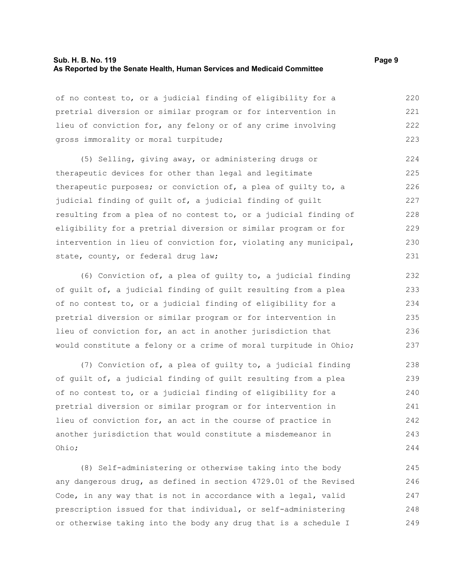# **Sub. H. B. No. 119 Page 9 As Reported by the Senate Health, Human Services and Medicaid Committee**

of no contest to, or a judicial finding of eligibility for a pretrial diversion or similar program or for intervention in lieu of conviction for, any felony or of any crime involving gross immorality or moral turpitude; 220 221 222 223

(5) Selling, giving away, or administering drugs or therapeutic devices for other than legal and legitimate therapeutic purposes; or conviction of, a plea of guilty to, a judicial finding of guilt of, a judicial finding of guilt resulting from a plea of no contest to, or a judicial finding of eligibility for a pretrial diversion or similar program or for intervention in lieu of conviction for, violating any municipal, state, county, or federal drug law; 224 225 226 227 228 229 230 231

(6) Conviction of, a plea of guilty to, a judicial finding of guilt of, a judicial finding of guilt resulting from a plea of no contest to, or a judicial finding of eligibility for a pretrial diversion or similar program or for intervention in lieu of conviction for, an act in another jurisdiction that would constitute a felony or a crime of moral turpitude in Ohio;

(7) Conviction of, a plea of guilty to, a judicial finding of guilt of, a judicial finding of guilt resulting from a plea of no contest to, or a judicial finding of eligibility for a pretrial diversion or similar program or for intervention in lieu of conviction for, an act in the course of practice in another jurisdiction that would constitute a misdemeanor in Ohio; 238 239 240 241 242 243 244

(8) Self-administering or otherwise taking into the body any dangerous drug, as defined in section 4729.01 of the Revised Code, in any way that is not in accordance with a legal, valid prescription issued for that individual, or self-administering or otherwise taking into the body any drug that is a schedule I 245 246 247 248 249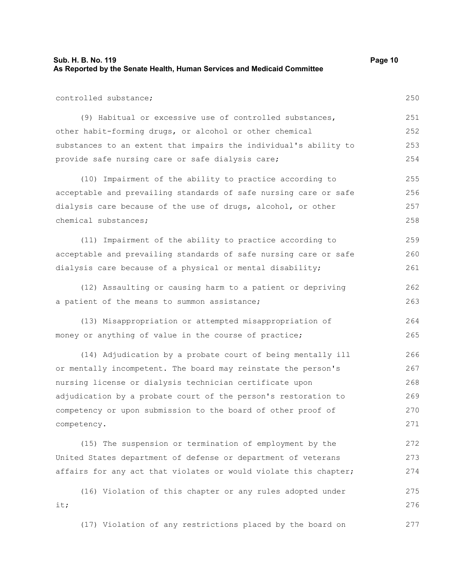| Sub. H. B. No. 119                                                      | Page 10 |
|-------------------------------------------------------------------------|---------|
| As Reported by the Senate Health, Human Services and Medicaid Committee |         |

| controlled substance;                                            | 250 |
|------------------------------------------------------------------|-----|
| (9) Habitual or excessive use of controlled substances,          | 251 |
| other habit-forming drugs, or alcohol or other chemical          | 252 |
| substances to an extent that impairs the individual's ability to | 253 |
| provide safe nursing care or safe dialysis care;                 | 254 |
| (10) Impairment of the ability to practice according to          | 255 |
| acceptable and prevailing standards of safe nursing care or safe | 256 |
| dialysis care because of the use of drugs, alcohol, or other     | 257 |
| chemical substances;                                             | 258 |
| (11) Impairment of the ability to practice according to          | 259 |
| acceptable and prevailing standards of safe nursing care or safe | 260 |
| dialysis care because of a physical or mental disability;        | 261 |
| (12) Assaulting or causing harm to a patient or depriving        | 262 |
| a patient of the means to summon assistance;                     | 263 |
| (13) Misappropriation or attempted misappropriation of           | 264 |
| money or anything of value in the course of practice;            | 265 |
| (14) Adjudication by a probate court of being mentally ill       | 266 |
| or mentally incompetent. The board may reinstate the person's    | 267 |
| nursing license or dialysis technician certificate upon          | 268 |
| adjudication by a probate court of the person's restoration to   | 269 |
| competency or upon submission to the board of other proof of     | 270 |
| competency.                                                      | 271 |
| (15) The suspension or termination of employment by the          | 272 |
| United States department of defense or department of veterans    | 273 |
| affairs for any act that violates or would violate this chapter; | 274 |
| (16) Violation of this chapter or any rules adopted under        | 275 |
| it;                                                              | 276 |
| (17) Violation of any restrictions placed by the board on        | 277 |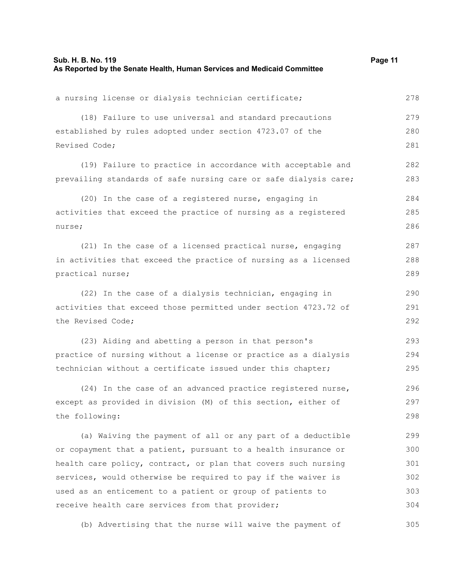| a nursing license or dialysis technician certificate;            | 278 |
|------------------------------------------------------------------|-----|
| (18) Failure to use universal and standard precautions           | 279 |
| established by rules adopted under section 4723.07 of the        | 280 |
| Revised Code;                                                    | 281 |
| (19) Failure to practice in accordance with acceptable and       | 282 |
| prevailing standards of safe nursing care or safe dialysis care; | 283 |
| (20) In the case of a registered nurse, engaging in              | 284 |
| activities that exceed the practice of nursing as a registered   | 285 |
| nurse;                                                           | 286 |
| (21) In the case of a licensed practical nurse, engaging         | 287 |
| in activities that exceed the practice of nursing as a licensed  | 288 |
| practical nurse;                                                 | 289 |
| (22) In the case of a dialysis technician, engaging in           | 290 |
| activities that exceed those permitted under section 4723.72 of  | 291 |
| the Revised Code;                                                | 292 |
| (23) Aiding and abetting a person in that person's               | 293 |
| practice of nursing without a license or practice as a dialysis  | 294 |
| technician without a certificate issued under this chapter;      | 295 |
| (24) In the case of an advanced practice registered nurse,       | 296 |
| except as provided in division (M) of this section, either of    | 297 |
| the following:                                                   | 298 |
| (a) Waiving the payment of all or any part of a deductible       | 299 |
| or copayment that a patient, pursuant to a health insurance or   | 300 |
| health care policy, contract, or plan that covers such nursing   | 301 |
| services, would otherwise be required to pay if the waiver is    | 302 |
| used as an enticement to a patient or group of patients to       | 303 |
| receive health care services from that provider;                 | 304 |
| (b) Advertising that the nurse will waive the payment of         | 305 |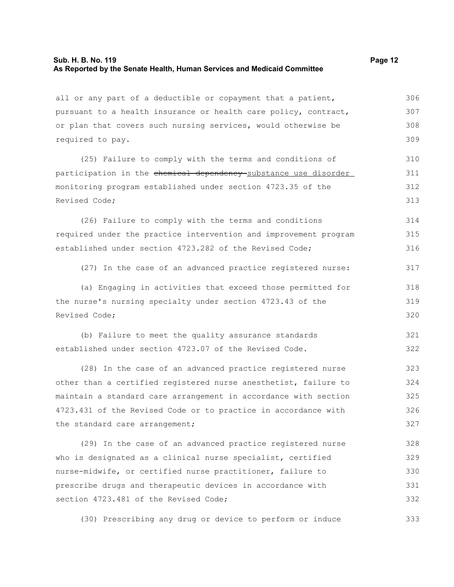# **Sub. H. B. No. 119 Page 12 As Reported by the Senate Health, Human Services and Medicaid Committee**

all or any part of a deductible or copayment that a patient, pursuant to a health insurance or health care policy, contract, or plan that covers such nursing services, would otherwise be required to pay. 306 307 308 309

(25) Failure to comply with the terms and conditions of participation in the chemical dependency substance use disorder monitoring program established under section 4723.35 of the Revised Code; 310 311 312 313

(26) Failure to comply with the terms and conditions required under the practice intervention and improvement program established under section 4723.282 of the Revised Code; 314 315 316

(27) In the case of an advanced practice registered nurse: 317

(a) Engaging in activities that exceed those permitted for the nurse's nursing specialty under section 4723.43 of the Revised Code; 318 319 320

(b) Failure to meet the quality assurance standards established under section 4723.07 of the Revised Code. 321 322

(28) In the case of an advanced practice registered nurse other than a certified registered nurse anesthetist, failure to maintain a standard care arrangement in accordance with section 4723.431 of the Revised Code or to practice in accordance with the standard care arrangement; 323 324 325 326 327

(29) In the case of an advanced practice registered nurse who is designated as a clinical nurse specialist, certified nurse-midwife, or certified nurse practitioner, failure to prescribe drugs and therapeutic devices in accordance with section 4723.481 of the Revised Code: 328 329 330 331 332

(30) Prescribing any drug or device to perform or induce 333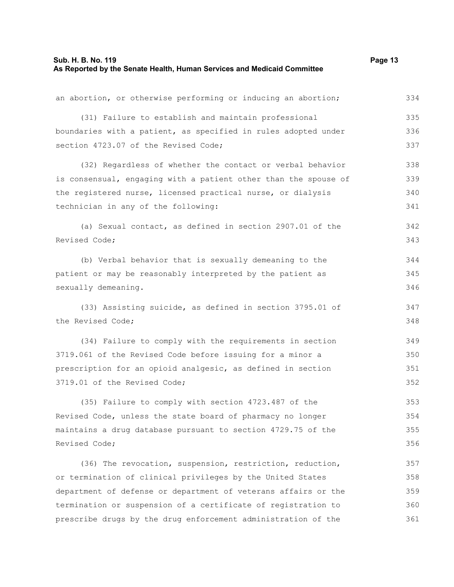# **Sub. H. B. No. 119 Page 13 As Reported by the Senate Health, Human Services and Medicaid Committee**

an abortion, or otherwise performing or inducing an abortion; (31) Failure to establish and maintain professional boundaries with a patient, as specified in rules adopted under section 4723.07 of the Revised Code; (32) Regardless of whether the contact or verbal behavior is consensual, engaging with a patient other than the spouse of the registered nurse, licensed practical nurse, or dialysis technician in any of the following: (a) Sexual contact, as defined in section 2907.01 of the Revised Code; (b) Verbal behavior that is sexually demeaning to the patient or may be reasonably interpreted by the patient as sexually demeaning. (33) Assisting suicide, as defined in section 3795.01 of the Revised Code; (34) Failure to comply with the requirements in section 3719.061 of the Revised Code before issuing for a minor a prescription for an opioid analgesic, as defined in section 3719.01 of the Revised Code; (35) Failure to comply with section 4723.487 of the Revised Code, unless the state board of pharmacy no longer maintains a drug database pursuant to section 4729.75 of the Revised Code; (36) The revocation, suspension, restriction, reduction, or termination of clinical privileges by the United States department of defense or department of veterans affairs or the termination or suspension of a certificate of registration to 334 335 336 337 338 339 340 341 342 343 344 345 346 347 348 349 350 351 352 353 354 355 356 357 358 359 360

prescribe drugs by the drug enforcement administration of the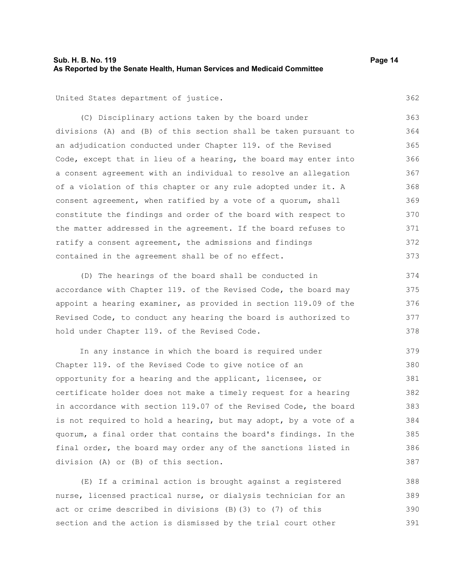# **Sub. H. B. No. 119 Page 14 As Reported by the Senate Health, Human Services and Medicaid Committee**

United States department of justice.

(C) Disciplinary actions taken by the board under divisions (A) and (B) of this section shall be taken pursuant to an adjudication conducted under Chapter 119. of the Revised Code, except that in lieu of a hearing, the board may enter into a consent agreement with an individual to resolve an allegation of a violation of this chapter or any rule adopted under it. A consent agreement, when ratified by a vote of a quorum, shall constitute the findings and order of the board with respect to the matter addressed in the agreement. If the board refuses to ratify a consent agreement, the admissions and findings contained in the agreement shall be of no effect. 363 364 365 366 367 368 369 370 371 372 373

(D) The hearings of the board shall be conducted in accordance with Chapter 119. of the Revised Code, the board may appoint a hearing examiner, as provided in section 119.09 of the Revised Code, to conduct any hearing the board is authorized to hold under Chapter 119. of the Revised Code. 374 375 376 377 378

In any instance in which the board is required under Chapter 119. of the Revised Code to give notice of an opportunity for a hearing and the applicant, licensee, or certificate holder does not make a timely request for a hearing in accordance with section 119.07 of the Revised Code, the board is not required to hold a hearing, but may adopt, by a vote of a quorum, a final order that contains the board's findings. In the final order, the board may order any of the sanctions listed in division (A) or (B) of this section. 379 380 381 382 383 384 385 386 387

(E) If a criminal action is brought against a registered nurse, licensed practical nurse, or dialysis technician for an act or crime described in divisions (B)(3) to (7) of this section and the action is dismissed by the trial court other 388 389 390 391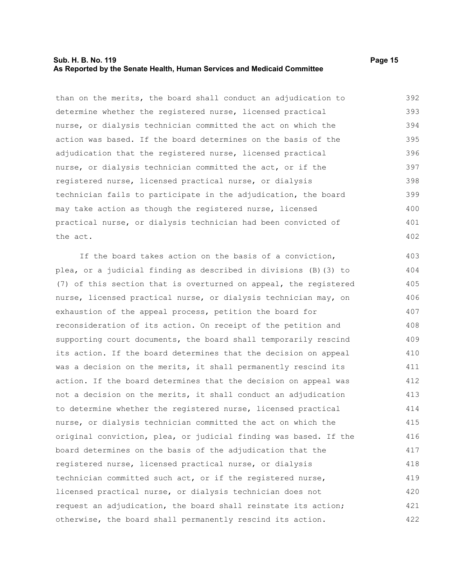# **Sub. H. B. No. 119 Page 15 As Reported by the Senate Health, Human Services and Medicaid Committee**

than on the merits, the board shall conduct an adjudication to determine whether the registered nurse, licensed practical nurse, or dialysis technician committed the act on which the action was based. If the board determines on the basis of the adjudication that the registered nurse, licensed practical nurse, or dialysis technician committed the act, or if the registered nurse, licensed practical nurse, or dialysis technician fails to participate in the adjudication, the board may take action as though the registered nurse, licensed practical nurse, or dialysis technician had been convicted of the act. 392 393 394 395 396 397 398 399 400 401 402

If the board takes action on the basis of a conviction, plea, or a judicial finding as described in divisions (B)(3) to (7) of this section that is overturned on appeal, the registered nurse, licensed practical nurse, or dialysis technician may, on exhaustion of the appeal process, petition the board for reconsideration of its action. On receipt of the petition and supporting court documents, the board shall temporarily rescind its action. If the board determines that the decision on appeal was a decision on the merits, it shall permanently rescind its action. If the board determines that the decision on appeal was not a decision on the merits, it shall conduct an adjudication to determine whether the registered nurse, licensed practical nurse, or dialysis technician committed the act on which the original conviction, plea, or judicial finding was based. If the board determines on the basis of the adjudication that the registered nurse, licensed practical nurse, or dialysis technician committed such act, or if the registered nurse, licensed practical nurse, or dialysis technician does not request an adjudication, the board shall reinstate its action; otherwise, the board shall permanently rescind its action. 403 404 405 406 407 408 409 410 411 412 413 414 415 416 417 418 419 420 421 422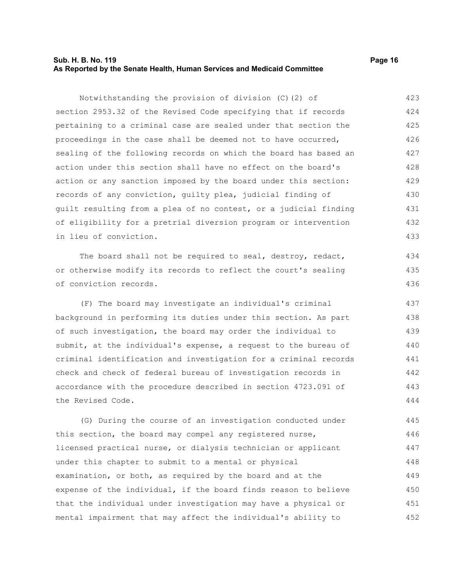# **Sub. H. B. No. 119 Page 16 As Reported by the Senate Health, Human Services and Medicaid Committee**

Notwithstanding the provision of division (C)(2) of section 2953.32 of the Revised Code specifying that if records pertaining to a criminal case are sealed under that section the proceedings in the case shall be deemed not to have occurred, sealing of the following records on which the board has based an action under this section shall have no effect on the board's action or any sanction imposed by the board under this section: records of any conviction, guilty plea, judicial finding of guilt resulting from a plea of no contest, or a judicial finding of eligibility for a pretrial diversion program or intervention in lieu of conviction. The board shall not be required to seal, destroy, redact, or otherwise modify its records to reflect the court's sealing of conviction records. (F) The board may investigate an individual's criminal background in performing its duties under this section. As part of such investigation, the board may order the individual to submit, at the individual's expense, a request to the bureau of 423 424 425 426 427 428 429 430 431 432 433 434 435 436 437 438 439 440

criminal identification and investigation for a criminal records check and check of federal bureau of investigation records in accordance with the procedure described in section 4723.091 of the Revised Code. 441 442 443 444

(G) During the course of an investigation conducted under this section, the board may compel any registered nurse, licensed practical nurse, or dialysis technician or applicant under this chapter to submit to a mental or physical examination, or both, as required by the board and at the expense of the individual, if the board finds reason to believe that the individual under investigation may have a physical or mental impairment that may affect the individual's ability to 445 446 447 448 449 450 451 452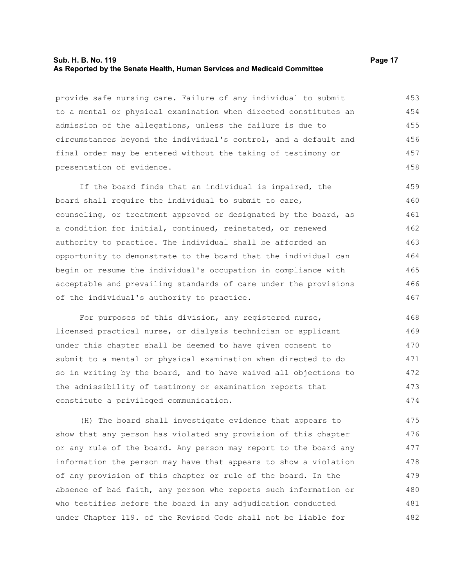#### **Sub. H. B. No. 119 Page 17 As Reported by the Senate Health, Human Services and Medicaid Committee**

provide safe nursing care. Failure of any individual to submit to a mental or physical examination when directed constitutes an admission of the allegations, unless the failure is due to circumstances beyond the individual's control, and a default and final order may be entered without the taking of testimony or presentation of evidence. 453 454 455 456 457 458

If the board finds that an individual is impaired, the board shall require the individual to submit to care, counseling, or treatment approved or designated by the board, as a condition for initial, continued, reinstated, or renewed authority to practice. The individual shall be afforded an opportunity to demonstrate to the board that the individual can begin or resume the individual's occupation in compliance with acceptable and prevailing standards of care under the provisions of the individual's authority to practice. 459 460 461 462 463 464 465 466 467

For purposes of this division, any registered nurse, licensed practical nurse, or dialysis technician or applicant under this chapter shall be deemed to have given consent to submit to a mental or physical examination when directed to do so in writing by the board, and to have waived all objections to the admissibility of testimony or examination reports that constitute a privileged communication. 468 469 470 471 472 473 474

(H) The board shall investigate evidence that appears to show that any person has violated any provision of this chapter or any rule of the board. Any person may report to the board any information the person may have that appears to show a violation of any provision of this chapter or rule of the board. In the absence of bad faith, any person who reports such information or who testifies before the board in any adjudication conducted under Chapter 119. of the Revised Code shall not be liable for 475 476 477 478 479 480 481 482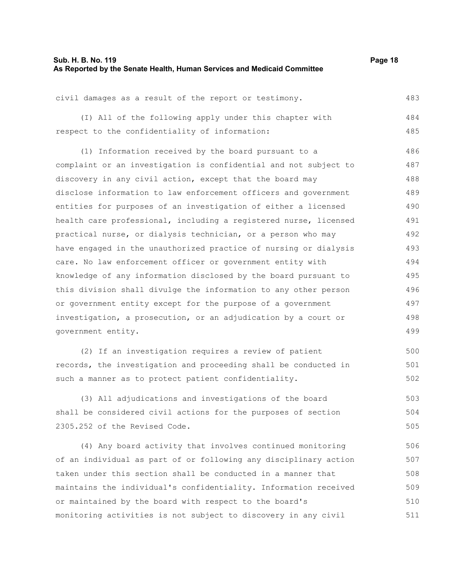# **Sub. H. B. No. 119 Page 18 As Reported by the Senate Health, Human Services and Medicaid Committee**

| civil damages as a result of the report or testimony.  | 483 |
|--------------------------------------------------------|-----|
| (I) All of the following apply under this chapter with | 484 |
| respect to the confidentiality of information:         | 485 |
| (1) Information received by the board pursuant to a    | 486 |

complaint or an investigation is confidential and not subject to discovery in any civil action, except that the board may disclose information to law enforcement officers and government entities for purposes of an investigation of either a licensed health care professional, including a registered nurse, licensed practical nurse, or dialysis technician, or a person who may have engaged in the unauthorized practice of nursing or dialysis care. No law enforcement officer or government entity with knowledge of any information disclosed by the board pursuant to this division shall divulge the information to any other person or government entity except for the purpose of a government investigation, a prosecution, or an adjudication by a court or government entity. 487 488 489 490 491 492 493 494 495 496 497 498 499

(2) If an investigation requires a review of patient records, the investigation and proceeding shall be conducted in such a manner as to protect patient confidentiality. 500 501 502

(3) All adjudications and investigations of the board shall be considered civil actions for the purposes of section 2305.252 of the Revised Code. 503 504 505

(4) Any board activity that involves continued monitoring of an individual as part of or following any disciplinary action taken under this section shall be conducted in a manner that maintains the individual's confidentiality. Information received or maintained by the board with respect to the board's monitoring activities is not subject to discovery in any civil 506 507 508 509 510 511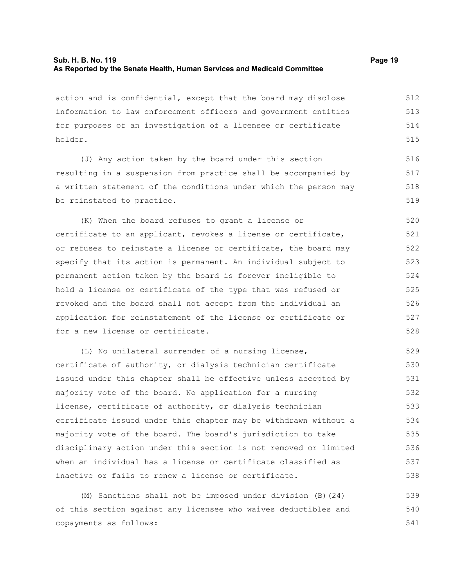# **Sub. H. B. No. 119 Page 19 As Reported by the Senate Health, Human Services and Medicaid Committee**

action and is confidential, except that the board may disclose information to law enforcement officers and government entities for purposes of an investigation of a licensee or certificate holder. 512 513 514 515

(J) Any action taken by the board under this section resulting in a suspension from practice shall be accompanied by a written statement of the conditions under which the person may be reinstated to practice.

(K) When the board refuses to grant a license or certificate to an applicant, revokes a license or certificate, or refuses to reinstate a license or certificate, the board may specify that its action is permanent. An individual subject to permanent action taken by the board is forever ineligible to hold a license or certificate of the type that was refused or revoked and the board shall not accept from the individual an application for reinstatement of the license or certificate or for a new license or certificate. 520 521 522 523 524 525 526 527 528

(L) No unilateral surrender of a nursing license, certificate of authority, or dialysis technician certificate issued under this chapter shall be effective unless accepted by majority vote of the board. No application for a nursing license, certificate of authority, or dialysis technician certificate issued under this chapter may be withdrawn without a majority vote of the board. The board's jurisdiction to take disciplinary action under this section is not removed or limited when an individual has a license or certificate classified as inactive or fails to renew a license or certificate. 529 530 531 532 533 534 535 536 537 538

(M) Sanctions shall not be imposed under division (B)(24) of this section against any licensee who waives deductibles and copayments as follows: 539 540 541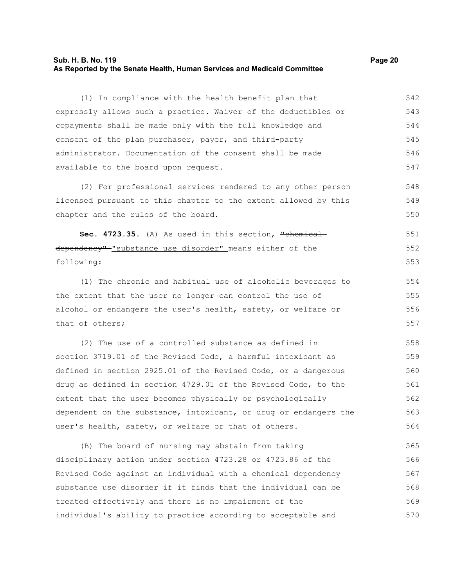# **Sub. H. B. No. 119 Page 20 As Reported by the Senate Health, Human Services and Medicaid Committee**

548 549 550

(1) In compliance with the health benefit plan that expressly allows such a practice. Waiver of the deductibles or copayments shall be made only with the full knowledge and consent of the plan purchaser, payer, and third-party administrator. Documentation of the consent shall be made available to the board upon request. 542 543 544 545 546 547

(2) For professional services rendered to any other person licensed pursuant to this chapter to the extent allowed by this chapter and the rules of the board.

Sec. 4723.35. (A) As used in this section, "chemical dependency"-"substance use disorder" means either of the following: 551 552 553

(1) The chronic and habitual use of alcoholic beverages to the extent that the user no longer can control the use of alcohol or endangers the user's health, safety, or welfare or that of others;

(2) The use of a controlled substance as defined in section 3719.01 of the Revised Code, a harmful intoxicant as defined in section 2925.01 of the Revised Code, or a dangerous drug as defined in section 4729.01 of the Revised Code, to the extent that the user becomes physically or psychologically dependent on the substance, intoxicant, or drug or endangers the user's health, safety, or welfare or that of others. 558 559 560 561 562 563 564

(B) The board of nursing may abstain from taking disciplinary action under section 4723.28 or 4723.86 of the Revised Code against an individual with a chemical dependency substance use disorder if it finds that the individual can be treated effectively and there is no impairment of the individual's ability to practice according to acceptable and 565 566 567 568 569 570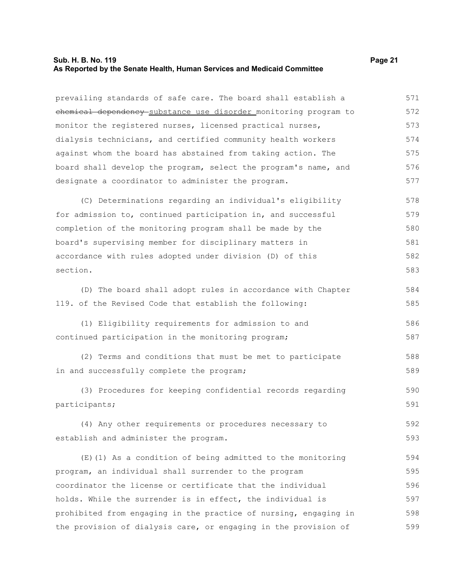# **Sub. H. B. No. 119 Page 21 As Reported by the Senate Health, Human Services and Medicaid Committee**

prevailing standards of safe care. The board shall establish a chemical dependency substance use disorder monitoring program to monitor the registered nurses, licensed practical nurses, dialysis technicians, and certified community health workers against whom the board has abstained from taking action. The board shall develop the program, select the program's name, and designate a coordinator to administer the program. (C) Determinations regarding an individual's eligibility for admission to, continued participation in, and successful completion of the monitoring program shall be made by the board's supervising member for disciplinary matters in accordance with rules adopted under division (D) of this section. (D) The board shall adopt rules in accordance with Chapter 119. of the Revised Code that establish the following: (1) Eligibility requirements for admission to and continued participation in the monitoring program; (2) Terms and conditions that must be met to participate in and successfully complete the program; (3) Procedures for keeping confidential records regarding participants; (4) Any other requirements or procedures necessary to establish and administer the program. (E)(1) As a condition of being admitted to the monitoring program, an individual shall surrender to the program coordinator the license or certificate that the individual holds. While the surrender is in effect, the individual is prohibited from engaging in the practice of nursing, engaging in the provision of dialysis care, or engaging in the provision of 571 572 573 574 575 576 577 578 579 580 581 582 583 584 585 586 587 588 589 590 591 592 593 594 595 596 597 598 599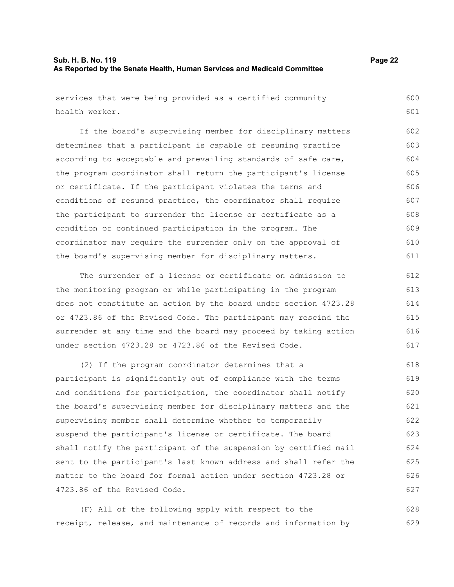# **Sub. H. B. No. 119 Page 22 As Reported by the Senate Health, Human Services and Medicaid Committee**

the board's supervising member for disciplinary matters.

611

services that were being provided as a certified community health worker. If the board's supervising member for disciplinary matters determines that a participant is capable of resuming practice according to acceptable and prevailing standards of safe care, the program coordinator shall return the participant's license or certificate. If the participant violates the terms and conditions of resumed practice, the coordinator shall require the participant to surrender the license or certificate as a condition of continued participation in the program. The coordinator may require the surrender only on the approval of 600 601 602 603 604 605 606 607 608 609 610

The surrender of a license or certificate on admission to the monitoring program or while participating in the program does not constitute an action by the board under section 4723.28 or 4723.86 of the Revised Code. The participant may rescind the surrender at any time and the board may proceed by taking action under section 4723.28 or 4723.86 of the Revised Code. 612 613 614 615 616 617

(2) If the program coordinator determines that a participant is significantly out of compliance with the terms and conditions for participation, the coordinator shall notify the board's supervising member for disciplinary matters and the supervising member shall determine whether to temporarily suspend the participant's license or certificate. The board shall notify the participant of the suspension by certified mail sent to the participant's last known address and shall refer the matter to the board for formal action under section 4723.28 or 4723.86 of the Revised Code. 618 619 620 621 622 623 624 625 626 627

(F) All of the following apply with respect to the receipt, release, and maintenance of records and information by 628 629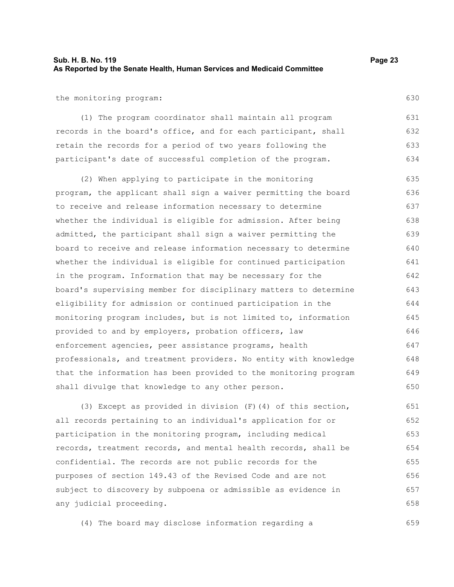# **Sub. H. B. No. 119 Page 23 As Reported by the Senate Health, Human Services and Medicaid Committee**

the monitoring program:

(1) The program coordinator shall maintain all program records in the board's office, and for each participant, shall retain the records for a period of two years following the participant's date of successful completion of the program. 631 632 633 634

(2) When applying to participate in the monitoring program, the applicant shall sign a waiver permitting the board to receive and release information necessary to determine whether the individual is eligible for admission. After being admitted, the participant shall sign a waiver permitting the board to receive and release information necessary to determine whether the individual is eligible for continued participation in the program. Information that may be necessary for the board's supervising member for disciplinary matters to determine eligibility for admission or continued participation in the monitoring program includes, but is not limited to, information provided to and by employers, probation officers, law enforcement agencies, peer assistance programs, health professionals, and treatment providers. No entity with knowledge that the information has been provided to the monitoring program shall divulge that knowledge to any other person. 635 636 637 638 639 640 641 642 643 644 645 646 647 648 649 650

(3) Except as provided in division (F)(4) of this section, all records pertaining to an individual's application for or participation in the monitoring program, including medical records, treatment records, and mental health records, shall be confidential. The records are not public records for the purposes of section 149.43 of the Revised Code and are not subject to discovery by subpoena or admissible as evidence in any judicial proceeding. 651 652 653 654 655 656 657 658

(4) The board may disclose information regarding a

630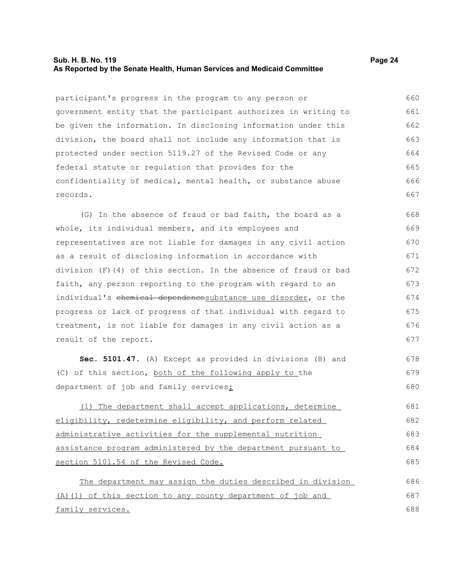### **Sub. H. B. No. 119 Page 24 As Reported by the Senate Health, Human Services and Medicaid Committee**

participant's progress in the program to any person or government entity that the participant authorizes in writing to be given the information. In disclosing information under this division, the board shall not include any information that is protected under section 5119.27 of the Revised Code or any federal statute or regulation that provides for the confidentiality of medical, mental health, or substance abuse records. 660 661 662 663 664 665 666 667

(G) In the absence of fraud or bad faith, the board as a whole, its individual members, and its employees and representatives are not liable for damages in any civil action as a result of disclosing information in accordance with division (F)(4) of this section. In the absence of fraud or bad faith, any person reporting to the program with regard to an individual's chemical dependencesubstance use disorder, or the progress or lack of progress of that individual with regard to treatment, is not liable for damages in any civil action as a result of the report. 668 669 670 671 672 673 674 675 676 677

**Sec. 5101.47.** (A) Except as provided in divisions (B) and (C) of this section, both of the following apply to the department of job and family services: 678 679 680

(1) The department shall accept applications, determine eligibility, redetermine eligibility, and perform related administrative activities for the supplemental nutrition assistance program administered by the department pursuant to section 5101.54 of the Revised Code. 681 682 683 684 685

The department may assign the duties described in division (A)(1) of this section to any county department of job and family services. 686 687 688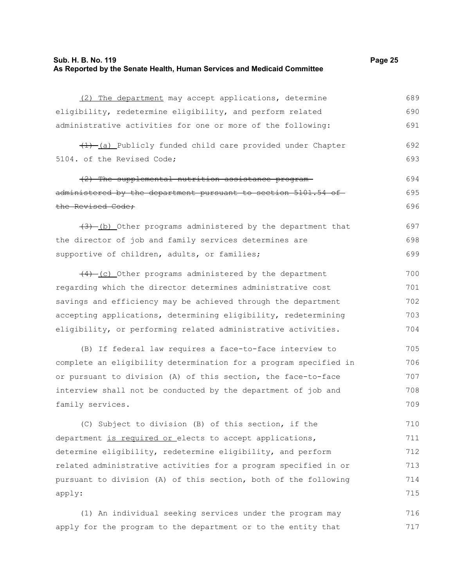# **Sub. H. B. No. 119 Page 25 As Reported by the Senate Health, Human Services and Medicaid Committee**

(2) The department may accept applications, determine eligibility, redetermine eligibility, and perform related administrative activities for one or more of the following: (1) (a) Publicly funded child care provided under Chapter 5104. of the Revised Code; (2) The supplemental nutrition assistance program administered by the department pursuant to section 5101.54 ofthe Revised Code;  $(3)$  (b) Other programs administered by the department that the director of job and family services determines are supportive of children, adults, or families;  $(4)$  (c) Other programs administered by the department regarding which the director determines administrative cost savings and efficiency may be achieved through the department accepting applications, determining eligibility, redetermining eligibility, or performing related administrative activities. (B) If federal law requires a face-to-face interview to complete an eligibility determination for a program specified in or pursuant to division (A) of this section, the face-to-face interview shall not be conducted by the department of job and 689 690 691 692 693 694 695 696 697 698 699 700 701 702 703 704 705 706 707 708

(C) Subject to division (B) of this section, if the department is required or elects to accept applications, determine eligibility, redetermine eligibility, and perform related administrative activities for a program specified in or pursuant to division (A) of this section, both of the following apply: 710 711 712 713 714 715

family services.

(1) An individual seeking services under the program may apply for the program to the department or to the entity that 716 717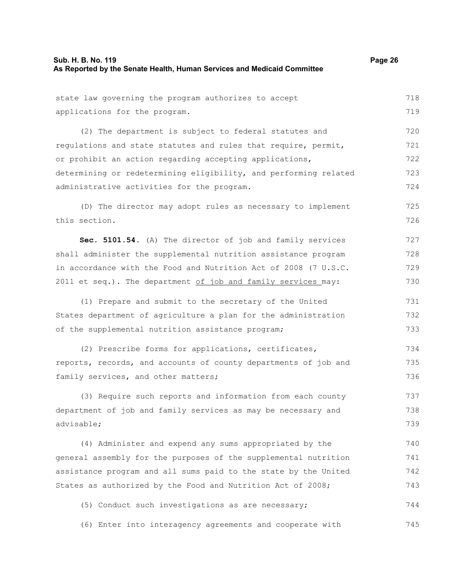| state law governing the program authorizes to accept             | 718 |
|------------------------------------------------------------------|-----|
| applications for the program.                                    | 719 |
| (2) The department is subject to federal statutes and            | 720 |
| regulations and state statutes and rules that require, permit,   | 721 |
| or prohibit an action regarding accepting applications,          | 722 |
| determining or redetermining eligibility, and performing related | 723 |
| administrative activities for the program.                       | 724 |
| (D) The director may adopt rules as necessary to implement       | 725 |
| this section.                                                    | 726 |
| Sec. 5101.54. (A) The director of job and family services        | 727 |
| shall administer the supplemental nutrition assistance program   | 728 |
| in accordance with the Food and Nutrition Act of 2008 (7 U.S.C.  | 729 |
| 2011 et seq.). The department of job and family services may:    | 730 |
| (1) Prepare and submit to the secretary of the United            | 731 |
| States department of agriculture a plan for the administration   | 732 |
| of the supplemental nutrition assistance program;                | 733 |
| (2) Prescribe forms for applications, certificates,              | 734 |
| reports, records, and accounts of county departments of job and  | 735 |
| family services, and other matters;                              | 736 |
| (3) Require such reports and information from each county        | 737 |
| department of job and family services as may be necessary and    | 738 |
| advisable;                                                       | 739 |
| (4) Administer and expend any sums appropriated by the           | 740 |
| general assembly for the purposes of the supplemental nutrition  | 741 |
| assistance program and all sums paid to the state by the United  | 742 |
| States as authorized by the Food and Nutrition Act of 2008;      | 743 |
| (5) Conduct such investigations as are necessary;                | 744 |
| (6) Enter into interagency agreements and cooperate with         | 745 |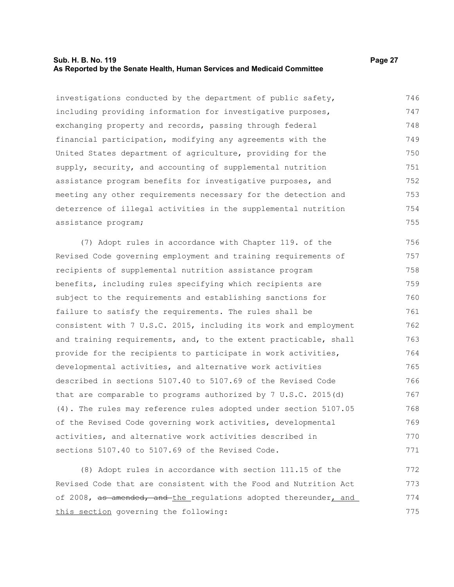# **Sub. H. B. No. 119 Page 27 As Reported by the Senate Health, Human Services and Medicaid Committee**

investigations conducted by the department of public safety, including providing information for investigative purposes, exchanging property and records, passing through federal financial participation, modifying any agreements with the United States department of agriculture, providing for the supply, security, and accounting of supplemental nutrition assistance program benefits for investigative purposes, and meeting any other requirements necessary for the detection and deterrence of illegal activities in the supplemental nutrition assistance program; 746 747 748 749 750 751 752 753 754 755

(7) Adopt rules in accordance with Chapter 119. of the Revised Code governing employment and training requirements of recipients of supplemental nutrition assistance program benefits, including rules specifying which recipients are subject to the requirements and establishing sanctions for failure to satisfy the requirements. The rules shall be consistent with 7 U.S.C. 2015, including its work and employment and training requirements, and, to the extent practicable, shall provide for the recipients to participate in work activities, developmental activities, and alternative work activities described in sections 5107.40 to 5107.69 of the Revised Code that are comparable to programs authorized by 7 U.S.C. 2015(d) (4). The rules may reference rules adopted under section 5107.05 of the Revised Code governing work activities, developmental activities, and alternative work activities described in sections 5107.40 to 5107.69 of the Revised Code. 756 757 758 759 760 761 762 763 764 765 766 767 768 769 770 771

(8) Adopt rules in accordance with section 111.15 of the Revised Code that are consistent with the Food and Nutrition Act of 2008, as amended, and the regulations adopted thereunder, and this section governing the following: 772 773 774 775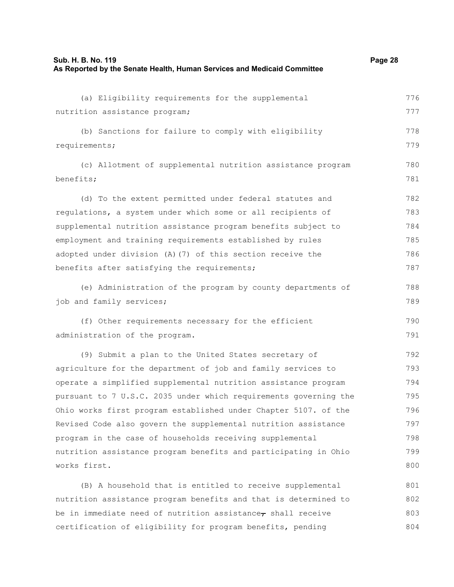| Sub. H. B. No. 119                                                      | Page 28 |
|-------------------------------------------------------------------------|---------|
| As Reported by the Senate Health, Human Services and Medicaid Committee |         |

| (a) Eligibility requirements for the supplemental                | 776 |
|------------------------------------------------------------------|-----|
| nutrition assistance program;                                    | 777 |
| (b) Sanctions for failure to comply with eligibility             | 778 |
| requirements;                                                    | 779 |
| (c) Allotment of supplemental nutrition assistance program       | 780 |
| benefits;                                                        | 781 |
| (d) To the extent permitted under federal statutes and           | 782 |
| regulations, a system under which some or all recipients of      | 783 |
| supplemental nutrition assistance program benefits subject to    | 784 |
| employment and training requirements established by rules        | 785 |
| adopted under division (A) (7) of this section receive the       | 786 |
| benefits after satisfying the requirements;                      | 787 |
| (e) Administration of the program by county departments of       | 788 |
| job and family services;                                         | 789 |
| (f) Other requirements necessary for the efficient               | 790 |
| administration of the program.                                   | 791 |
| (9) Submit a plan to the United States secretary of              | 792 |
| agriculture for the department of job and family services to     | 793 |
| operate a simplified supplemental nutrition assistance program   | 794 |
| pursuant to 7 U.S.C. 2035 under which requirements governing the | 795 |
| Ohio works first program established under Chapter 5107. of the  | 796 |
| Revised Code also govern the supplemental nutrition assistance   | 797 |
| program in the case of households receiving supplemental         | 798 |
| nutrition assistance program benefits and participating in Ohio  | 799 |
| works first.                                                     | 800 |
| (B) A household that is entitled to receive supplemental         | 801 |
| nutrition assistance program benefits and that is determined to  | 802 |
| be in immediate need of nutrition assistance $r$ shall receive   | 803 |
| certification of eligibility for program benefits, pending       | 804 |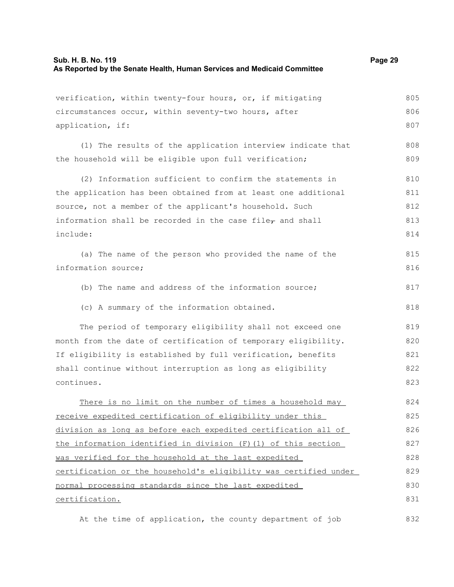| verification, within twenty-four hours, or, if mitigating        | 805 |
|------------------------------------------------------------------|-----|
| circumstances occur, within seventy-two hours, after             | 806 |
| application, if:                                                 | 807 |
| (1) The results of the application interview indicate that       | 808 |
| the household will be eligible upon full verification;           | 809 |
| (2) Information sufficient to confirm the statements in          | 810 |
| the application has been obtained from at least one additional   | 811 |
| source, not a member of the applicant's household. Such          | 812 |
| information shall be recorded in the case file, and shall        | 813 |
| include:                                                         | 814 |
| (a) The name of the person who provided the name of the          | 815 |
| information source;                                              | 816 |
| (b) The name and address of the information source;              | 817 |
| (c) A summary of the information obtained.                       | 818 |
| The period of temporary eligibility shall not exceed one         | 819 |
| month from the date of certification of temporary eligibility.   | 820 |
| If eligibility is established by full verification, benefits     | 821 |
| shall continue without interruption as long as eligibility       | 822 |
| continues.                                                       | 823 |
| There is no limit on the number of times a household may         | 824 |
| receive expedited certification of eligibility under this        | 825 |
| division as long as before each expedited certification all of   | 826 |
| the information identified in division (F) (1) of this section   | 827 |
| was verified for the household at the last expedited             | 828 |
| certification or the household's eligibility was certified under | 829 |
| normal processing standards since the last expedited             | 830 |
| certification.                                                   | 831 |
| At the time of application, the county department of job         | 832 |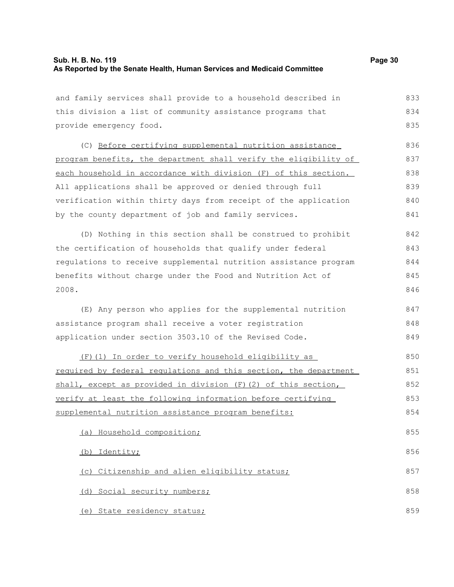| and family services shall provide to a household described in    | 833 |
|------------------------------------------------------------------|-----|
| this division a list of community assistance programs that       | 834 |
| provide emergency food.                                          | 835 |
| (C) Before certifying supplemental nutrition assistance          | 836 |
| program benefits, the department shall verify the eligibility of | 837 |
| each household in accordance with division (F) of this section.  | 838 |
| All applications shall be approved or denied through full        | 839 |
| verification within thirty days from receipt of the application  | 840 |
| by the county department of job and family services.             | 841 |
| (D) Nothing in this section shall be construed to prohibit       | 842 |
| the certification of households that qualify under federal       | 843 |
| regulations to receive supplemental nutrition assistance program | 844 |
| benefits without charge under the Food and Nutrition Act of      | 845 |
| 2008.                                                            | 846 |
| (E) Any person who applies for the supplemental nutrition        | 847 |
| assistance program shall receive a voter registration            | 848 |
| application under section 3503.10 of the Revised Code.           | 849 |
| (F) (1) In order to verify household eligibility as              | 850 |
| required by federal regulations and this section, the department | 851 |
| shall, except as provided in division (F) (2) of this section,   | 852 |
| verify at least the following information before certifying      | 853 |
| supplemental nutrition assistance program benefits:              | 854 |
| (a) Household composition;                                       | 855 |
| (b) Identity;                                                    | 856 |
| (c) Citizenship and alien eligibility status;                    | 857 |
| (d) Social security numbers;                                     | 858 |
|                                                                  |     |
| (e) State residency status;                                      | 859 |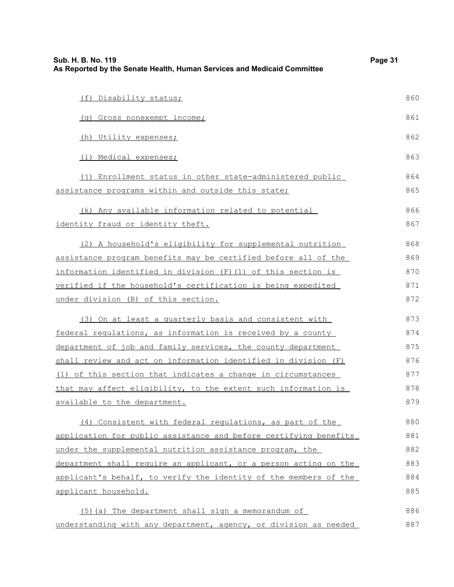| Sub. H. B. No. 119<br>As Reported by the Senate Health, Human Services and Medicaid Committee | Page 31 |
|-----------------------------------------------------------------------------------------------|---------|
| (f) Disability status;                                                                        | 860     |
| (g) Gross nonexempt income;                                                                   | 861     |
| (h) Utility expenses;                                                                         | 862     |
| (i) Medical expenses;                                                                         | 863     |
| (j) Enrollment status in other state-administered public                                      | 864     |
| assistance programs within and outside this state;                                            | 865     |
| (k) Any available information related to potential                                            | 866     |
| identity fraud or identity theft.                                                             | 867     |
| (2) A household's eligibility for supplemental nutrition                                      | 868     |
| assistance program benefits may be certified before all of the                                | 869     |
| information identified in division (F) (1) of this section is                                 | 870     |
| verified if the household's certification is being expedited                                  | 871     |
| under division (B) of this section.                                                           | 872     |
| (3) On at least a quarterly basis and consistent with                                         | 873     |
| federal regulations, as information is received by a county                                   | 874     |
| department of job and family services, the county department                                  | 875     |
| shall review and act on information identified in division (F)                                | 876     |
| (1) of this section that indicates a change in circumstances                                  | 877     |
| that may affect eligibility, to the extent such information is                                | 878     |
| available to the department.                                                                  | 879     |
| (4) Consistent with federal regulations, as part of the                                       | 880     |
| application for public assistance and before certifying benefits                              | 881     |
| under the supplemental nutrition assistance program, the                                      | 882     |
| department shall require an applicant, or a person acting on the                              | 883     |
| applicant's behalf, to verify the identity of the members of the                              | 884     |
| applicant household.                                                                          | 885     |
| (5) (a) The department shall sign a memorandum of                                             | 886     |
| understanding with any department, agency, or division as needed                              | 887     |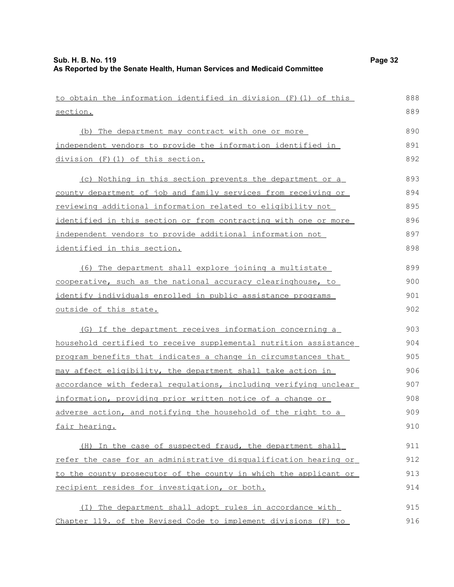| to obtain the information identified in division (F) (1) of this | 888 |
|------------------------------------------------------------------|-----|
| section.                                                         | 889 |
| (b) The department may contract with one or more                 | 890 |
| independent vendors to provide the information identified in     | 891 |
| division (F)(1) of this section.                                 | 892 |
| (c) Nothing in this section prevents the department or a         | 893 |
| county department of job and family services from receiving or   | 894 |
| reviewing additional information related to eligibility not      | 895 |
| identified in this section or from contracting with one or more  | 896 |
| independent vendors to provide additional information not        | 897 |
| identified in this section.                                      | 898 |
| (6) The department shall explore joining a multistate            | 899 |
| cooperative, such as the national accuracy clearinghouse, to     | 900 |
| identify individuals enrolled in public assistance programs      | 901 |
| <u>outside of this state.</u>                                    | 902 |
| (G) If the department receives information concerning a          | 903 |
| household certified to receive supplemental nutrition assistance | 904 |
| program benefits that indicates a change in circumstances that   | 905 |
| may affect eligibility, the department shall take action in      | 906 |
| accordance with federal regulations, including verifying unclear | 907 |
| information, providing prior written notice of a change or       | 908 |
| adverse action, and notifying the household of the right to a    | 909 |
| fair hearing.                                                    | 910 |
| (H) In the case of suspected fraud, the department shall         | 911 |
| refer the case for an administrative disqualification hearing or | 912 |
| to the county prosecutor of the county in which the applicant or | 913 |
| recipient resides for investigation, or both.                    | 914 |
| The department shall adopt rules in accordance with<br>( I )     | 915 |
| Chapter 119. of the Revised Code to implement divisions (F) to   | 916 |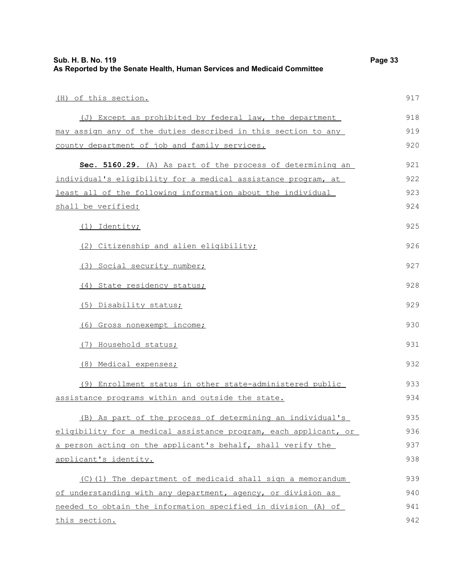| (H) of this section.                                             | 917 |
|------------------------------------------------------------------|-----|
| (J) Except as prohibited by federal law, the department          | 918 |
| may assign any of the duties described in this section to any    | 919 |
| county department of job and family services.                    | 920 |
| Sec. 5160.29. (A) As part of the process of determining an       | 921 |
| individual's eligibility for a medical assistance program, at    | 922 |
| least all of the following information about the individual      | 923 |
| shall be verified:                                               | 924 |
| (1) Identity;                                                    | 925 |
| (2) Citizenship and alien eligibility;                           | 926 |
| (3) Social security number;                                      | 927 |
| (4) State residency status;                                      | 928 |
| (5) Disability status;                                           | 929 |
| (6) Gross nonexempt income;                                      | 930 |
| (7) Household status;                                            | 931 |
| (8) Medical expenses;                                            | 932 |
| (9) Enrollment status in other state-administered public         | 933 |
| assistance programs within and outside the state.                | 934 |
| (B) As part of the process of determining an individual's        | 935 |
| eligibility for a medical assistance program, each applicant, or | 936 |
| a person acting on the applicant's behalf, shall verify the      | 937 |
| applicant's identity.                                            | 938 |
| (C) (1) The department of medicaid shall sign a memorandum       | 939 |
| of understanding with any department, agency, or division as     | 940 |
| needed to obtain the information specified in division (A) of    | 941 |
| this section.                                                    | 942 |

**Sub. H. B. No. 119 Page 33**

**As Reported by the Senate Health, Human Services and Medicaid Committee**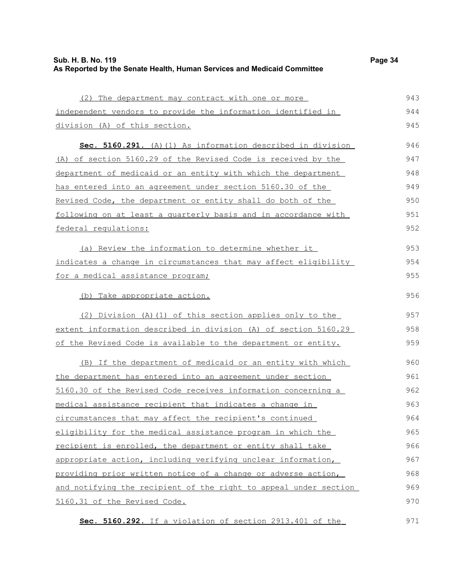| Sub. H. B. No. 119                                                      | Page 34 |
|-------------------------------------------------------------------------|---------|
| As Reported by the Senate Health, Human Services and Medicaid Committee |         |

| (2) The department may contract with one or more                 | 943 |
|------------------------------------------------------------------|-----|
| independent vendors to provide the information identified in     | 944 |
| division (A) of this section.                                    | 945 |
| Sec. 5160.291. (A) (1) As information described in division      | 946 |
| (A) of section 5160.29 of the Revised Code is received by the    | 947 |
| department of medicaid or an entity with which the department    | 948 |
| has entered into an agreement under section 5160.30 of the       | 949 |
| Revised Code, the department or entity shall do both of the      | 950 |
| following on at least a quarterly basis and in accordance with   | 951 |
| federal regulations:                                             | 952 |
| (a) Review the information to determine whether it               | 953 |
| indicates a change in circumstances that may affect eligibility  | 954 |
| for a medical assistance program;                                | 955 |
| (b) Take appropriate action.                                     | 956 |
| (2) Division (A) (1) of this section applies only to the         | 957 |
| extent information described in division (A) of section 5160.29  | 958 |
| of the Revised Code is available to the department or entity.    | 959 |
| (B) If the department of medicaid or an entity with which        | 960 |
| the department has entered into an agreement under section       | 961 |
| 5160.30 of the Revised Code receives information concerning a    | 962 |
| medical assistance recipient that indicates a change in          | 963 |
| circumstances that may affect the recipient's continued          | 964 |
| eligibility for the medical assistance program in which the      | 965 |
| recipient is enrolled, the department or entity shall take       | 966 |
| appropriate action, including verifying unclear information,     | 967 |
| providing prior written notice of a change or adverse action,    | 968 |
| and notifying the recipient of the right to appeal under section | 969 |
| 5160.31 of the Revised Code.                                     | 970 |
| Sec. 5160.292. If a violation of section 2913.401 of the         | 971 |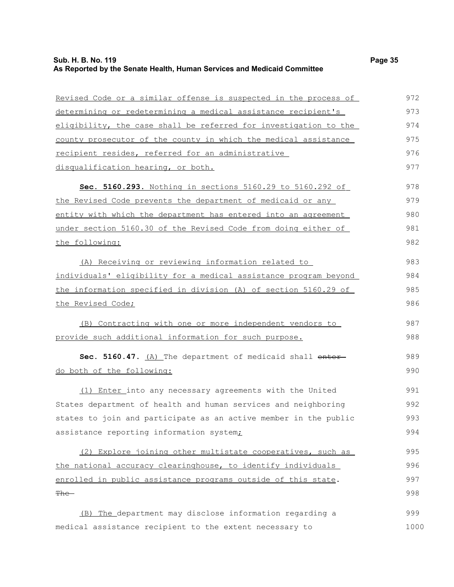# **Sub. H. B. No. 119 Page 35 As Reported by the Senate Health, Human Services and Medicaid Committee**

| Revised Code or a similar offense is suspected in the process of | 972  |
|------------------------------------------------------------------|------|
| determining or redetermining a medical assistance recipient's    | 973  |
| eligibility, the case shall be referred for investigation to the | 974  |
| county prosecutor of the county in which the medical assistance  | 975  |
| recipient resides, referred for an administrative                | 976  |
| disqualification hearing, or both.                               | 977  |
| Sec. 5160.293. Nothing in sections 5160.29 to 5160.292 of        | 978  |
| the Revised Code prevents the department of medicaid or any      | 979  |
| entity with which the department has entered into an agreement   | 980  |
| under section 5160.30 of the Revised Code from doing either of   | 981  |
| the following:                                                   | 982  |
| (A) Receiving or reviewing information related to                | 983  |
| individuals' eligibility for a medical assistance program beyond | 984  |
| the information specified in division (A) of section 5160.29 of  | 985  |
| the Revised Code;                                                | 986  |
| (B) Contracting with one or more independent vendors to          | 987  |
| provide such additional information for such purpose.            | 988  |
| Sec. 5160.47. (A) The department of medicaid shall enter-        | 989  |
| do both of the following:                                        | 990  |
| (1) Enter into any necessary agreements with the United          | 991  |
| States department of health and human services and neighboring   | 992  |
| states to join and participate as an active member in the public | 993  |
| assistance reporting information system;                         | 994  |
| (2) Explore joining other multistate cooperatives, such as       | 995  |
| the national accuracy clearinghouse, to identify individuals     | 996  |
| enrolled in public assistance programs outside of this state.    | 997  |
| <del>The -</del>                                                 | 998  |
| (B) The department may disclose information regarding a          | 999  |
| medical assistance recipient to the extent necessary to          | 1000 |